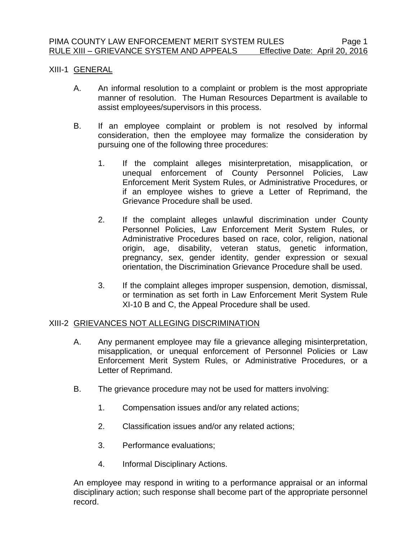#### XIII-1 GENERAL

- A. An informal resolution to a complaint or problem is the most appropriate manner of resolution. The Human Resources Department is available to assist employees/supervisors in this process.
- B. If an employee complaint or problem is not resolved by informal consideration, then the employee may formalize the consideration by pursuing one of the following three procedures:
	- 1. If the complaint alleges misinterpretation, misapplication, or unequal enforcement of County Personnel Policies, Law Enforcement Merit System Rules, or Administrative Procedures, or if an employee wishes to grieve a Letter of Reprimand, the Grievance Procedure shall be used.
	- 2. If the complaint alleges unlawful discrimination under County Personnel Policies, Law Enforcement Merit System Rules, or Administrative Procedures based on race, color, religion, national origin, age, disability, veteran status, genetic information, pregnancy, sex, gender identity, gender expression or sexual orientation, the Discrimination Grievance Procedure shall be used.
	- 3. If the complaint alleges improper suspension, demotion, dismissal, or termination as set forth in Law Enforcement Merit System Rule XI-10 B and C, the Appeal Procedure shall be used.

### XIII-2 GRIEVANCES NOT ALLEGING DISCRIMINATION

- A. Any permanent employee may file a grievance alleging misinterpretation, misapplication, or unequal enforcement of Personnel Policies or Law Enforcement Merit System Rules, or Administrative Procedures, or a Letter of Reprimand.
- B. The grievance procedure may not be used for matters involving:
	- 1. Compensation issues and/or any related actions;
	- 2. Classification issues and/or any related actions;
	- 3. Performance evaluations;
	- 4. Informal Disciplinary Actions.

An employee may respond in writing to a performance appraisal or an informal disciplinary action; such response shall become part of the appropriate personnel record.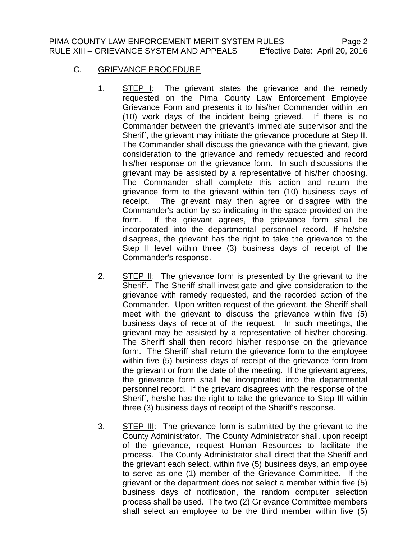## C. GRIEVANCE PROCEDURE

- 1. STEP I: The grievant states the grievance and the remedy requested on the Pima County Law Enforcement Employee Grievance Form and presents it to his/her Commander within ten (10) work days of the incident being grieved. If there is no Commander between the grievant's immediate supervisor and the Sheriff, the grievant may initiate the grievance procedure at Step II. The Commander shall discuss the grievance with the grievant, give consideration to the grievance and remedy requested and record his/her response on the grievance form. In such discussions the grievant may be assisted by a representative of his/her choosing. The Commander shall complete this action and return the grievance form to the grievant within ten (10) business days of receipt. The grievant may then agree or disagree with the Commander's action by so indicating in the space provided on the form. If the grievant agrees, the grievance form shall be incorporated into the departmental personnel record. If he/she disagrees, the grievant has the right to take the grievance to the Step II level within three (3) business days of receipt of the Commander's response.
- 2.  $STEP II:$  The grievance form is presented by the grievant to the Sheriff. The Sheriff shall investigate and give consideration to the grievance with remedy requested, and the recorded action of the Commander. Upon written request of the grievant, the Sheriff shall meet with the grievant to discuss the grievance within five (5) business days of receipt of the request. In such meetings, the grievant may be assisted by a representative of his/her choosing. The Sheriff shall then record his/her response on the grievance form. The Sheriff shall return the grievance form to the employee within five (5) business days of receipt of the grievance form from the grievant or from the date of the meeting. If the grievant agrees, the grievance form shall be incorporated into the departmental personnel record. If the grievant disagrees with the response of the Sheriff, he/she has the right to take the grievance to Step III within three (3) business days of receipt of the Sheriff's response.
- 3. STEP III: The grievance form is submitted by the grievant to the County Administrator. The County Administrator shall, upon receipt of the grievance, request Human Resources to facilitate the process. The County Administrator shall direct that the Sheriff and the grievant each select, within five (5) business days, an employee to serve as one (1) member of the Grievance Committee. If the grievant or the department does not select a member within five (5) business days of notification, the random computer selection process shall be used. The two (2) Grievance Committee members shall select an employee to be the third member within five (5)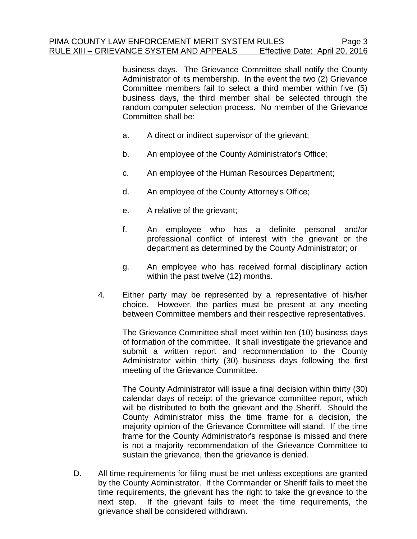business days. The Grievance Committee shall notify the County Administrator of its membership. In the event the two (2) Grievance Committee members fail to select a third member within five (5) business days, the third member shall be selected through the random computer selection process. No member of the Grievance Committee shall be:

- a. A direct or indirect supervisor of the grievant;
- b. An employee of the County Administrator's Office;
- c. An employee of the Human Resources Department;
- d. An employee of the County Attorney's Office;
- e. A relative of the grievant;
- f. An employee who has a definite personal and/or professional conflict of interest with the grievant or the department as determined by the County Administrator; or
- g. An employee who has received formal disciplinary action within the past twelve (12) months.
- 4. Either party may be represented by a representative of his/her choice. However, the parties must be present at any meeting between Committee members and their respective representatives.

The Grievance Committee shall meet within ten (10) business days of formation of the committee. It shall investigate the grievance and submit a written report and recommendation to the County Administrator within thirty (30) business days following the first meeting of the Grievance Committee.

The County Administrator will issue a final decision within thirty (30) calendar days of receipt of the grievance committee report, which will be distributed to both the grievant and the Sheriff. Should the County Administrator miss the time frame for a decision, the majority opinion of the Grievance Committee will stand. If the time frame for the County Administrator's response is missed and there is not a majority recommendation of the Grievance Committee to sustain the grievance, then the grievance is denied.

D. All time requirements for filing must be met unless exceptions are granted by the County Administrator. If the Commander or Sheriff fails to meet the time requirements, the grievant has the right to take the grievance to the next step. If the grievant fails to meet the time requirements, the grievance shall be considered withdrawn.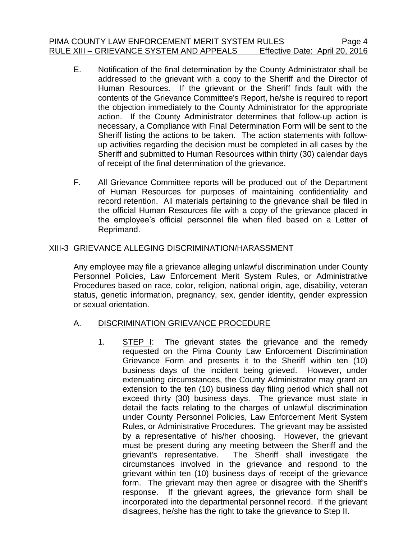- E. Notification of the final determination by the County Administrator shall be addressed to the grievant with a copy to the Sheriff and the Director of Human Resources. If the grievant or the Sheriff finds fault with the contents of the Grievance Committee's Report, he/she is required to report the objection immediately to the County Administrator for the appropriate action. If the County Administrator determines that follow-up action is necessary, a Compliance with Final Determination Form will be sent to the Sheriff listing the actions to be taken. The action statements with followup activities regarding the decision must be completed in all cases by the Sheriff and submitted to Human Resources within thirty (30) calendar days of receipt of the final determination of the grievance.
- F. All Grievance Committee reports will be produced out of the Department of Human Resources for purposes of maintaining confidentiality and record retention. All materials pertaining to the grievance shall be filed in the official Human Resources file with a copy of the grievance placed in the employee's official personnel file when filed based on a Letter of Reprimand.

## XIII-3 GRIEVANCE ALLEGING DISCRIMINATION/HARASSMENT

Any employee may file a grievance alleging unlawful discrimination under County Personnel Policies, Law Enforcement Merit System Rules, or Administrative Procedures based on race, color, religion, national origin, age, disability, veteran status, genetic information, pregnancy, sex, gender identity, gender expression or sexual orientation.

### A. DISCRIMINATION GRIEVANCE PROCEDURE

1. STEP I: The grievant states the grievance and the remedy requested on the Pima County Law Enforcement Discrimination Grievance Form and presents it to the Sheriff within ten (10) business days of the incident being grieved. However, under extenuating circumstances, the County Administrator may grant an extension to the ten (10) business day filing period which shall not exceed thirty (30) business days. The grievance must state in detail the facts relating to the charges of unlawful discrimination under County Personnel Policies, Law Enforcement Merit System Rules, or Administrative Procedures. The grievant may be assisted by a representative of his/her choosing. However, the grievant must be present during any meeting between the Sheriff and the grievant's representative. The Sheriff shall investigate the circumstances involved in the grievance and respond to the grievant within ten (10) business days of receipt of the grievance form. The grievant may then agree or disagree with the Sheriff's response. If the grievant agrees, the grievance form shall be incorporated into the departmental personnel record. If the grievant disagrees, he/she has the right to take the grievance to Step II.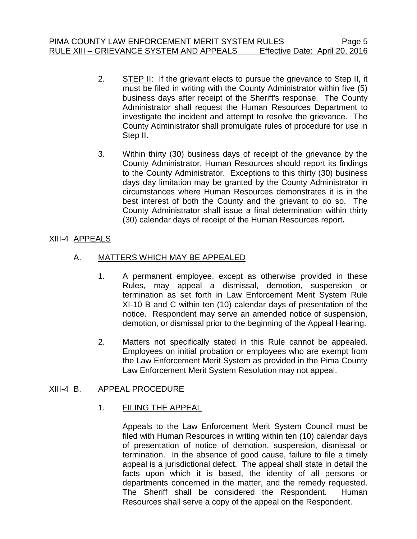- 2. STEP II: If the grievant elects to pursue the grievance to Step II, it must be filed in writing with the County Administrator within five (5) business days after receipt of the Sheriff's response. The County Administrator shall request the Human Resources Department to investigate the incident and attempt to resolve the grievance. The County Administrator shall promulgate rules of procedure for use in Step II.
- 3. Within thirty (30) business days of receipt of the grievance by the County Administrator, Human Resources should report its findings to the County Administrator. Exceptions to this thirty (30) business days day limitation may be granted by the County Administrator in circumstances where Human Resources demonstrates it is in the best interest of both the County and the grievant to do so. The County Administrator shall issue a final determination within thirty (30) calendar days of receipt of the Human Resources report**.**

# XIII-4 APPEALS

## A. MATTERS WHICH MAY BE APPEALED

- 1. A permanent employee, except as otherwise provided in these Rules, may appeal a dismissal, demotion, suspension or termination as set forth in Law Enforcement Merit System Rule XI-10 B and C within ten (10) calendar days of presentation of the notice. Respondent may serve an amended notice of suspension, demotion, or dismissal prior to the beginning of the Appeal Hearing.
- 2. Matters not specifically stated in this Rule cannot be appealed. Employees on initial probation or employees who are exempt from the Law Enforcement Merit System as provided in the Pima County Law Enforcement Merit System Resolution may not appeal.

## XIII-4 B. APPEAL PROCEDURE

1. FILING THE APPEAL

Appeals to the Law Enforcement Merit System Council must be filed with Human Resources in writing within ten (10) calendar days of presentation of notice of demotion, suspension, dismissal or termination. In the absence of good cause, failure to file a timely appeal is a jurisdictional defect. The appeal shall state in detail the facts upon which it is based, the identity of all persons or departments concerned in the matter, and the remedy requested. The Sheriff shall be considered the Respondent. Human Resources shall serve a copy of the appeal on the Respondent.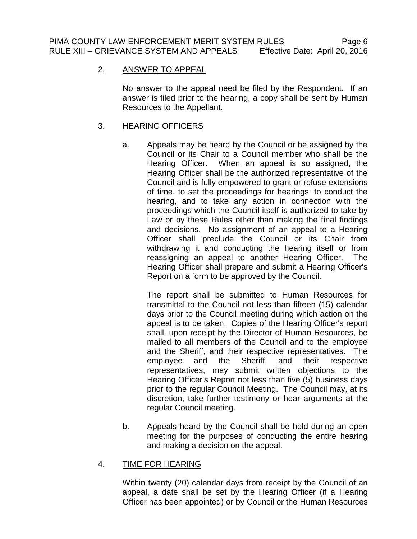## 2. ANSWER TO APPEAL

No answer to the appeal need be filed by the Respondent. If an answer is filed prior to the hearing, a copy shall be sent by Human Resources to the Appellant.

## 3. HEARING OFFICERS

a. Appeals may be heard by the Council or be assigned by the Council or its Chair to a Council member who shall be the Hearing Officer. When an appeal is so assigned, the Hearing Officer shall be the authorized representative of the Council and is fully empowered to grant or refuse extensions of time, to set the proceedings for hearings, to conduct the hearing, and to take any action in connection with the proceedings which the Council itself is authorized to take by Law or by these Rules other than making the final findings and decisions. No assignment of an appeal to a Hearing Officer shall preclude the Council or its Chair from withdrawing it and conducting the hearing itself or from reassigning an appeal to another Hearing Officer. The Hearing Officer shall prepare and submit a Hearing Officer's Report on a form to be approved by the Council.

The report shall be submitted to Human Resources for transmittal to the Council not less than fifteen (15) calendar days prior to the Council meeting during which action on the appeal is to be taken. Copies of the Hearing Officer's report shall, upon receipt by the Director of Human Resources, be mailed to all members of the Council and to the employee and the Sheriff, and their respective representatives. The employee and the Sheriff, and their respective representatives, may submit written objections to the Hearing Officer's Report not less than five (5) business days prior to the regular Council Meeting. The Council may, at its discretion, take further testimony or hear arguments at the regular Council meeting.

b. Appeals heard by the Council shall be held during an open meeting for the purposes of conducting the entire hearing and making a decision on the appeal.

### 4. TIME FOR HEARING

Within twenty (20) calendar days from receipt by the Council of an appeal, a date shall be set by the Hearing Officer (if a Hearing Officer has been appointed) or by Council or the Human Resources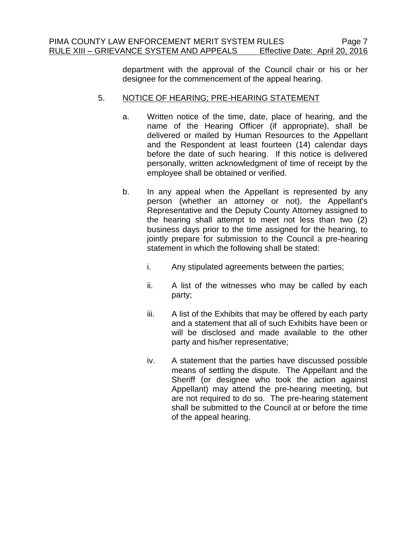department with the approval of the Council chair or his or her designee for the commencement of the appeal hearing.

## 5. NOTICE OF HEARING; PRE-HEARING STATEMENT

- a. Written notice of the time, date, place of hearing, and the name of the Hearing Officer (if appropriate), shall be delivered or mailed by Human Resources to the Appellant and the Respondent at least fourteen (14) calendar days before the date of such hearing. If this notice is delivered personally, written acknowledgment of time of receipt by the employee shall be obtained or verified.
- b. In any appeal when the Appellant is represented by any person (whether an attorney or not), the Appellant's Representative and the Deputy County Attorney assigned to the hearing shall attempt to meet not less than two (2) business days prior to the time assigned for the hearing, to jointly prepare for submission to the Council a pre-hearing statement in which the following shall be stated:
	- i. Any stipulated agreements between the parties;
	- ii. A list of the witnesses who may be called by each party;
	- iii. A list of the Exhibits that may be offered by each party and a statement that all of such Exhibits have been or will be disclosed and made available to the other party and his/her representative;
	- iv. A statement that the parties have discussed possible means of settling the dispute. The Appellant and the Sheriff (or designee who took the action against Appellant) may attend the pre-hearing meeting, but are not required to do so. The pre-hearing statement shall be submitted to the Council at or before the time of the appeal hearing.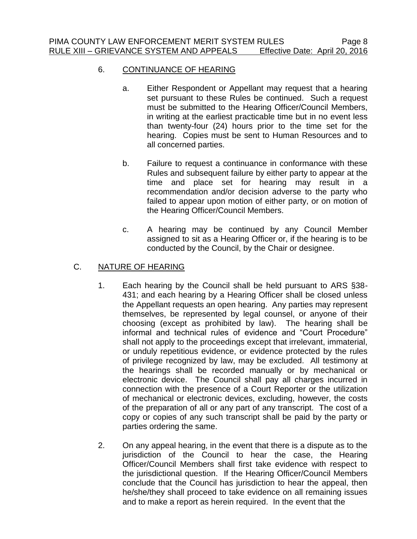## 6. CONTINUANCE OF HEARING

- a. Either Respondent or Appellant may request that a hearing set pursuant to these Rules be continued. Such a request must be submitted to the Hearing Officer/Council Members, in writing at the earliest practicable time but in no event less than twenty-four (24) hours prior to the time set for the hearing. Copies must be sent to Human Resources and to all concerned parties.
- b. Failure to request a continuance in conformance with these Rules and subsequent failure by either party to appear at the time and place set for hearing may result in a recommendation and/or decision adverse to the party who failed to appear upon motion of either party, or on motion of the Hearing Officer/Council Members.
- c. A hearing may be continued by any Council Member assigned to sit as a Hearing Officer or, if the hearing is to be conducted by the Council, by the Chair or designee.

# C. NATURE OF HEARING

- 1. Each hearing by the Council shall be held pursuant to ARS §38- 431; and each hearing by a Hearing Officer shall be closed unless the Appellant requests an open hearing. Any parties may represent themselves, be represented by legal counsel, or anyone of their choosing (except as prohibited by law). The hearing shall be informal and technical rules of evidence and "Court Procedure" shall not apply to the proceedings except that irrelevant, immaterial, or unduly repetitious evidence, or evidence protected by the rules of privilege recognized by law, may be excluded. All testimony at the hearings shall be recorded manually or by mechanical or electronic device. The Council shall pay all charges incurred in connection with the presence of a Court Reporter or the utilization of mechanical or electronic devices, excluding, however, the costs of the preparation of all or any part of any transcript. The cost of a copy or copies of any such transcript shall be paid by the party or parties ordering the same.
- 2. On any appeal hearing, in the event that there is a dispute as to the jurisdiction of the Council to hear the case, the Hearing Officer/Council Members shall first take evidence with respect to the jurisdictional question. If the Hearing Officer/Council Members conclude that the Council has jurisdiction to hear the appeal, then he/she/they shall proceed to take evidence on all remaining issues and to make a report as herein required. In the event that the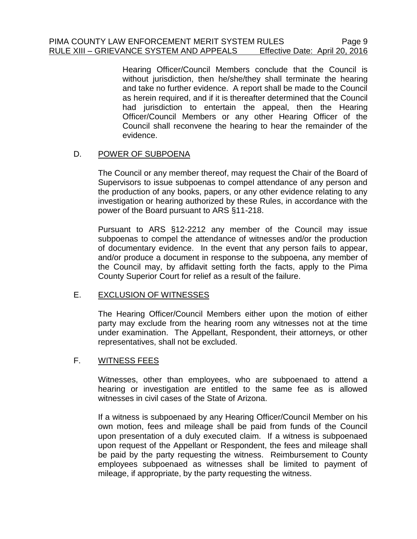Hearing Officer/Council Members conclude that the Council is without jurisdiction, then he/she/they shall terminate the hearing and take no further evidence. A report shall be made to the Council as herein required, and if it is thereafter determined that the Council had jurisdiction to entertain the appeal, then the Hearing Officer/Council Members or any other Hearing Officer of the Council shall reconvene the hearing to hear the remainder of the evidence.

## D. POWER OF SUBPOENA

The Council or any member thereof, may request the Chair of the Board of Supervisors to issue subpoenas to compel attendance of any person and the production of any books, papers, or any other evidence relating to any investigation or hearing authorized by these Rules, in accordance with the power of the Board pursuant to ARS §11-218.

Pursuant to ARS §12-2212 any member of the Council may issue subpoenas to compel the attendance of witnesses and/or the production of documentary evidence. In the event that any person fails to appear, and/or produce a document in response to the subpoena, any member of the Council may, by affidavit setting forth the facts, apply to the Pima County Superior Court for relief as a result of the failure.

## E. EXCLUSION OF WITNESSES

The Hearing Officer/Council Members either upon the motion of either party may exclude from the hearing room any witnesses not at the time under examination. The Appellant, Respondent, their attorneys, or other representatives, shall not be excluded.

## F. WITNESS FEES

Witnesses, other than employees, who are subpoenaed to attend a hearing or investigation are entitled to the same fee as is allowed witnesses in civil cases of the State of Arizona.

If a witness is subpoenaed by any Hearing Officer/Council Member on his own motion, fees and mileage shall be paid from funds of the Council upon presentation of a duly executed claim. If a witness is subpoenaed upon request of the Appellant or Respondent, the fees and mileage shall be paid by the party requesting the witness. Reimbursement to County employees subpoenaed as witnesses shall be limited to payment of mileage, if appropriate, by the party requesting the witness.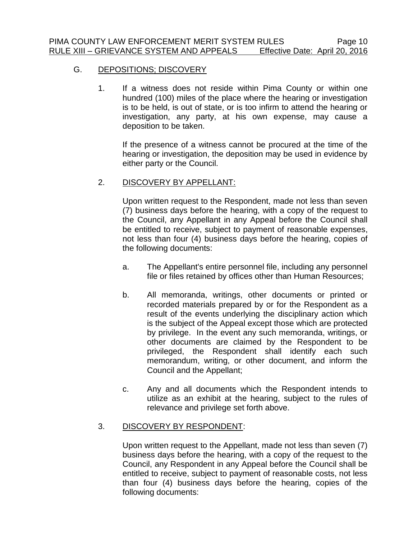#### G. DEPOSITIONS; DISCOVERY

1. If a witness does not reside within Pima County or within one hundred (100) miles of the place where the hearing or investigation is to be held, is out of state, or is too infirm to attend the hearing or investigation, any party, at his own expense, may cause a deposition to be taken.

If the presence of a witness cannot be procured at the time of the hearing or investigation, the deposition may be used in evidence by either party or the Council.

## 2. DISCOVERY BY APPELLANT:

Upon written request to the Respondent, made not less than seven (7) business days before the hearing, with a copy of the request to the Council, any Appellant in any Appeal before the Council shall be entitled to receive, subject to payment of reasonable expenses, not less than four (4) business days before the hearing, copies of the following documents:

- a. The Appellant's entire personnel file, including any personnel file or files retained by offices other than Human Resources;
- b. All memoranda, writings, other documents or printed or recorded materials prepared by or for the Respondent as a result of the events underlying the disciplinary action which is the subject of the Appeal except those which are protected by privilege. In the event any such memoranda, writings, or other documents are claimed by the Respondent to be privileged, the Respondent shall identify each such memorandum, writing, or other document, and inform the Council and the Appellant;
- c. Any and all documents which the Respondent intends to utilize as an exhibit at the hearing, subject to the rules of relevance and privilege set forth above.

### 3. DISCOVERY BY RESPONDENT:

Upon written request to the Appellant, made not less than seven (7) business days before the hearing, with a copy of the request to the Council, any Respondent in any Appeal before the Council shall be entitled to receive, subject to payment of reasonable costs, not less than four (4) business days before the hearing, copies of the following documents: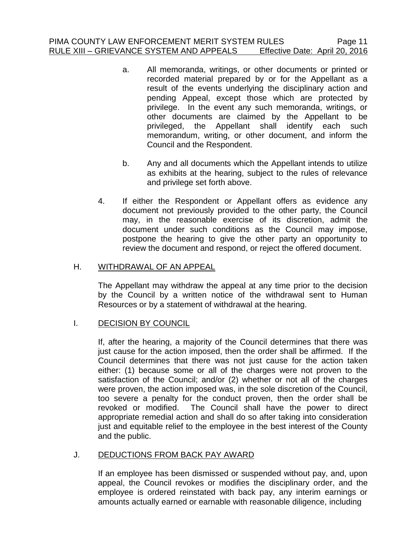#### PIMA COUNTY LAW ENFORCEMENT MERIT SYSTEM RULES Page 11 RULE XIII – GRIEVANCE SYSTEM AND APPEALS Effective Date: April 20, 2016

- a. All memoranda, writings, or other documents or printed or recorded material prepared by or for the Appellant as a result of the events underlying the disciplinary action and pending Appeal, except those which are protected by privilege. In the event any such memoranda, writings, or other documents are claimed by the Appellant to be privileged, the Appellant shall identify each such memorandum, writing, or other document, and inform the Council and the Respondent.
- b. Any and all documents which the Appellant intends to utilize as exhibits at the hearing, subject to the rules of relevance and privilege set forth above.
- 4. If either the Respondent or Appellant offers as evidence any document not previously provided to the other party, the Council may, in the reasonable exercise of its discretion, admit the document under such conditions as the Council may impose, postpone the hearing to give the other party an opportunity to review the document and respond, or reject the offered document.

## H. WITHDRAWAL OF AN APPEAL

The Appellant may withdraw the appeal at any time prior to the decision by the Council by a written notice of the withdrawal sent to Human Resources or by a statement of withdrawal at the hearing.

### I. DECISION BY COUNCIL

If, after the hearing, a majority of the Council determines that there was just cause for the action imposed, then the order shall be affirmed. If the Council determines that there was not just cause for the action taken either: (1) because some or all of the charges were not proven to the satisfaction of the Council; and/or (2) whether or not all of the charges were proven, the action imposed was, in the sole discretion of the Council, too severe a penalty for the conduct proven, then the order shall be revoked or modified. The Council shall have the power to direct appropriate remedial action and shall do so after taking into consideration just and equitable relief to the employee in the best interest of the County and the public.

### J. DEDUCTIONS FROM BACK PAY AWARD

If an employee has been dismissed or suspended without pay, and, upon appeal, the Council revokes or modifies the disciplinary order, and the employee is ordered reinstated with back pay, any interim earnings or amounts actually earned or earnable with reasonable diligence, including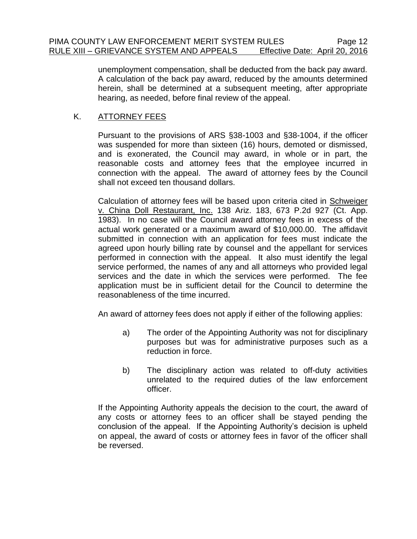unemployment compensation, shall be deducted from the back pay award. A calculation of the back pay award, reduced by the amounts determined herein, shall be determined at a subsequent meeting, after appropriate hearing, as needed, before final review of the appeal.

## K. ATTORNEY FEES

Pursuant to the provisions of ARS §38-1003 and §38-1004, if the officer was suspended for more than sixteen (16) hours, demoted or dismissed, and is exonerated, the Council may award, in whole or in part, the reasonable costs and attorney fees that the employee incurred in connection with the appeal. The award of attorney fees by the Council shall not exceed ten thousand dollars.

Calculation of attorney fees will be based upon criteria cited in Schweiger v. China Doll Restaurant, Inc. 138 Ariz. 183, 673 P.2d 927 (Ct. App. 1983). In no case will the Council award attorney fees in excess of the actual work generated or a maximum award of \$10,000.00. The affidavit submitted in connection with an application for fees must indicate the agreed upon hourly billing rate by counsel and the appellant for services performed in connection with the appeal. It also must identify the legal service performed, the names of any and all attorneys who provided legal services and the date in which the services were performed. The fee application must be in sufficient detail for the Council to determine the reasonableness of the time incurred.

An award of attorney fees does not apply if either of the following applies:

- a) The order of the Appointing Authority was not for disciplinary purposes but was for administrative purposes such as a reduction in force.
- b) The disciplinary action was related to off-duty activities unrelated to the required duties of the law enforcement officer.

If the Appointing Authority appeals the decision to the court, the award of any costs or attorney fees to an officer shall be stayed pending the conclusion of the appeal. If the Appointing Authority's decision is upheld on appeal, the award of costs or attorney fees in favor of the officer shall be reversed.